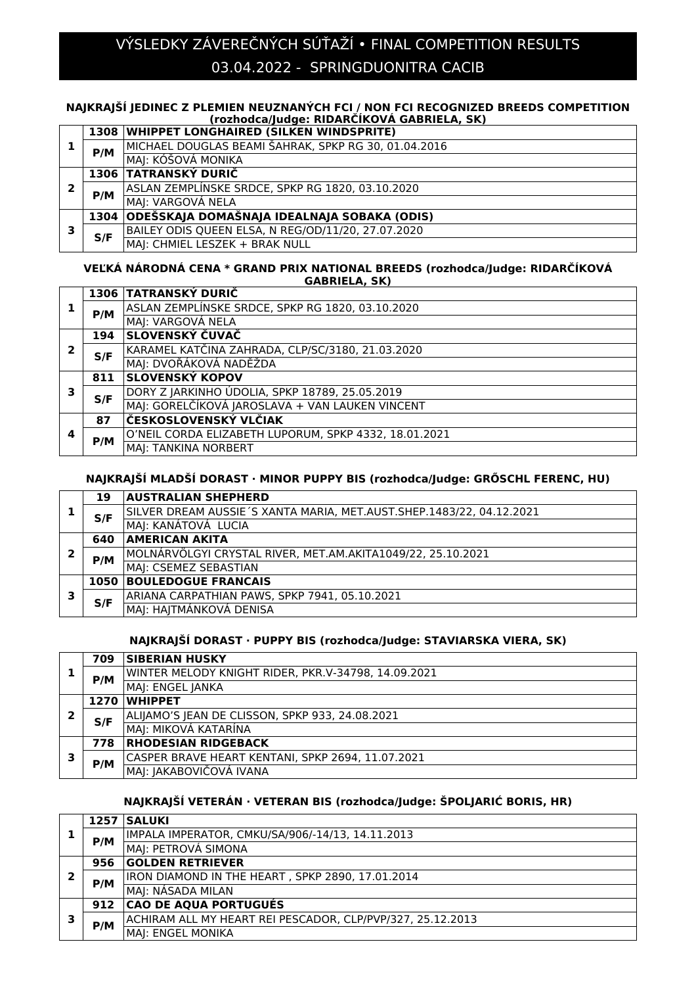# 03.04.2022 - SPRINGDUONITRA CACIB VÝSLEDKY ZÁVEREČNÝCH SÚŤAŽÍ • FINAL COMPETITION RESULTS

### **NAJKRAJŠÍ JEDINEC Z PLEMIEN NEUZNANÝCH FCI / NON FCI RECOGNIZED BREEDS COMPETITION (rozhodca/Judge: RIDARČÍKOVÁ GABRIELA, SK)**

|   |      | 1308   WHIPPET LONGHAIRED (SILKEN WINDSPRITE)        |
|---|------|------------------------------------------------------|
|   | P/M  | MICHAEL DOUGLAS BEAMI ŠAHRAK, SPKP RG 30, 01.04.2016 |
|   |      | MAJ: KÓŠOVÁ MONIKA                                   |
|   |      | 1306 TATRANSKÝ DURIČ                                 |
| 2 | P/M  | ASLAN ZEMPLÍNSKE SRDCE, SPKP RG 1820, 03.10.2020     |
|   |      | MAJ: VARGOVÁ NELA                                    |
|   | 1304 | ODEŠSKAJA DOMAŠNAJA IDEALNAJA SOBAKA (ODIS)          |
| з | S/F  | BAILEY ODIS QUEEN ELSA, N REG/OD/11/20, 27.07.2020   |
|   |      | MAJ: CHMIEL LESZEK + BRAK NULL                       |

#### **VEĽKÁ NÁRODNÁ CENA \* GRAND PRIX NATIONAL BREEDS (rozhodca/Judge: RIDARČÍKOVÁ GABRIELA, SK)**

|   |     | 1306 TATRANSKÝ DURIČ                                  |
|---|-----|-------------------------------------------------------|
|   | P/M | ASLAN ZEMPLÍNSKE SRDCE, SPKP RG 1820, 03.10.2020      |
|   |     | MAJ: VARGOVÁ NELA                                     |
|   | 194 | SLOVENSKÝ ČUVAČ                                       |
| 2 | S/F | KARAMEL KATČINA ZAHRADA, CLP/SC/3180, 21.03.2020      |
|   |     | MAI: DVOŘÁKOVÁ NADĚŽDA                                |
|   | 811 | <b>SLOVENSKÝ KOPOV</b>                                |
| 3 | S/F | DORY Z JARKINHO ÚDOLIA, SPKP 18789, 25.05.2019        |
|   |     | MAJ: GORELČÍKOVÁ JAROSLAVA + VAN LAUKEN VINCENT       |
| 4 | 87  | ČESKOSLOVENSKÝ VLČIAK                                 |
|   | P/M | O'NEIL CORDA ELIZABETH LUPORUM, SPKP 4332, 18.01.2021 |
|   |     | MAJ: TANKINA NORBERT                                  |

# **NAJKRAJŠÍ MLADŠÍ DORAST · MINOR PUPPY BIS (rozhodca/Judge: GRŐSCHL FERENC, HU)**

|   | 19  | <b>AUSTRALIAN SHEPHERD</b>                                           |
|---|-----|----------------------------------------------------------------------|
|   | S/F | SILVER DREAM AUSSIE'S XANTA MARIA, MET.AUST.SHEP.1483/22, 04.12.2021 |
|   |     | MAJ: KANÁTOVÁ LUCIA                                                  |
|   | 640 | <b>AMERICAN AKITA</b>                                                |
| 2 | P/M | MOLNÁRVÖLGYI CRYSTAL RIVER, MET.AM.AKITA1049/22, 25.10.2021          |
|   |     | MAJ: CSEMEZ SEBASTIAN                                                |
| 3 |     | <b>1050 BOULEDOGUE FRANCAIS</b>                                      |
|   | S/F | ARIANA CARPATHIAN PAWS, SPKP 7941, 05.10.2021                        |
|   |     | MAI: HAJTMÁNKOVÁ DENISA                                              |

### **NAJKRAJŠÍ DORAST · PUPPY BIS (rozhodca/Judge: STAVIARSKA VIERA, SK)**

|   | 709 | <b>SIBERIAN HUSKY</b>                               |
|---|-----|-----------------------------------------------------|
|   | P/M | WINTER MELODY KNIGHT RIDER, PKR.V-34798, 14.09.2021 |
|   |     | MAJ: ENGEL JANKA                                    |
|   |     | 1270 WHIPPET                                        |
| 2 | S/F | ALIJAMO'S JEAN DE CLISSON, SPKP 933, 24.08.2021     |
|   |     | MAJ: MIKOVÁ KATARÍNA                                |
|   | 778 | <b>RHODESIAN RIDGEBACK</b>                          |
|   | P/M | CASPER BRAVE HEART KENTANI, SPKP 2694, 11.07.2021   |
|   |     | MAJ: JAKABOVIČOVÁ IVANA                             |

## **NAJKRAJŠÍ VETERÁN · VETERAN BIS (rozhodca/Judge: ŠPOLJARIĆ BORIS, HR)**

|   |     | 1257   SALUKI                                              |
|---|-----|------------------------------------------------------------|
|   | P/M | IMPALA IMPERATOR, CMKU/SA/906/-14/13, 14.11.2013           |
|   |     | MAJ: PETROVÁ SIMONA                                        |
|   | 956 | <b>GOLDEN RETRIEVER</b>                                    |
| 2 | P/M | IRON DIAMOND IN THE HEART, SPKP 2890, 17.01.2014           |
|   |     | MA : NÁSADA MILAN                                          |
| 3 | 912 | <b>CAO DE AQUA PORTUGUÉS</b>                               |
|   | P/M | ACHIRAM ALL MY HEART REI PESCADOR, CLP/PVP/327, 25.12.2013 |
|   |     | MAJ: ENGEL MONIKA                                          |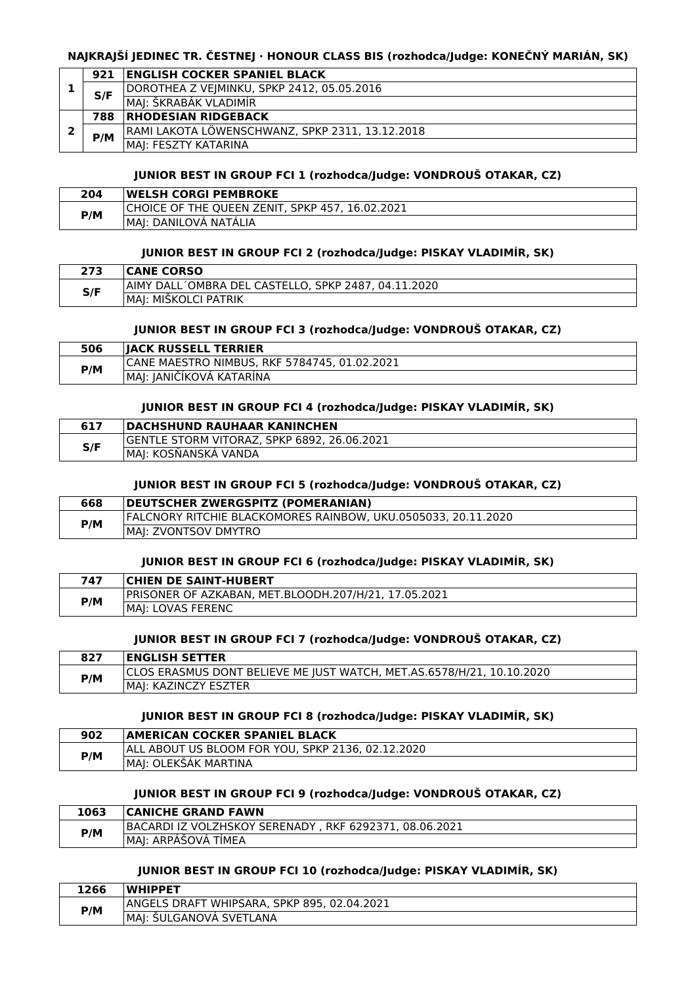### **NAJKRAJŠÍ JEDINEC TR. ČESTNEJ · HONOUR CLASS BIS (rozhodca/Judge: KONEČNÝ MARIÁN, SK)**

|  | 921 | <b>ENGLISH COCKER SPANIEL BLACK</b>             |
|--|-----|-------------------------------------------------|
|  | S/F | DOROTHEA Z VEJMINKU, SPKP 2412, 05.05.2016      |
|  |     | MAJ: ŠKRABÁK VLADIMÍR                           |
|  | 788 | <b>IRHODESIAN RIDGEBACK</b>                     |
|  | P/M | RAMI LAKOTA LÖWENSCHWANZ, SPKP 2311, 13.12.2018 |
|  |     | MAJ: FESZTY KATARINA                            |

### **JUNIOR BEST IN GROUP FCI 1 (rozhodca/Judge: VONDROUŠ OTAKAR, CZ)**

| 204 | <b>IWELSH CORGI PEMBROKE</b>                       |
|-----|----------------------------------------------------|
| P/M | CHOICE OF THE OUEEN ZENIT. SPKP 457.<br>16.02.2021 |
|     | DANILOVA NATALIA                                   |

### **JUNIOR BEST IN GROUP FCI 2 (rozhodca/Judge: PISKAY VLADIMÍR, SK)**

| 273 | <b>CANE CORSO</b>                                   |
|-----|-----------------------------------------------------|
| S/F | AIMY DALL OMBRA DEL CASTELLO, SPKP 2487, 04.11.2020 |
|     | : MIŠKOLCI PATRIK<br>MAI:                           |

### **JUNIOR BEST IN GROUP FCI 3 (rozhodca/Judge: VONDROUŠ OTAKAR, CZ)**

| 506 | <b>IIACK RUSSELL TERRIER</b>                          |
|-----|-------------------------------------------------------|
| P/M | CANE MAESTRO NIMBUS, RKF 5784745, 01.02.2021          |
|     | $\overline{\phantom{a}}$<br> MAJ: JANIČÍKOVÁ KATARÍNA |

#### **JUNIOR BEST IN GROUP FCI 4 (rozhodca/Judge: PISKAY VLADIMÍR, SK)**

| 617 | <b>DACHSHUND RAUHAAR KANINCHEN</b>          |
|-----|---------------------------------------------|
| S/F | GENTLE STORM VITORAZ, SPKP 6892, 26.06.2021 |
|     | IMAI: KOSNANSKA VANDA                       |

#### **JUNIOR BEST IN GROUP FCI 5 (rozhodca/Judge: VONDROUŠ OTAKAR, CZ)**

| 668 | <b>DEUTSCHER ZWERGSPITZ (POMERANIAN)</b>                             |
|-----|----------------------------------------------------------------------|
| P/M | <b>FALCNORY RITCHIE BLACKOMORES RAINBOW, UKU.0505033, 20.11.2020</b> |
|     | IMAI: ZVONTSOV DMYTRO                                                |

#### **JUNIOR BEST IN GROUP FCI 6 (rozhodca/Judge: PISKAY VLADIMÍR, SK)**

| 747 | <b>CHIEN DE SAINT-HUBERT</b>                         |
|-----|------------------------------------------------------|
| P/M | PRISONER OF AZKABAN, MET.BLOODH.207/H/21, 17.05.2021 |
|     | IMAI: LOVAS FERENC                                   |

### **JUNIOR BEST IN GROUP FCI 7 (rozhodca/Judge: VONDROUŠ OTAKAR, CZ)**

| 827 | <b>ENGLISH SETTER</b>                                                 |
|-----|-----------------------------------------------------------------------|
| P/M | CLOS ERASMUS DONT BELIEVE ME JUST WATCH, MET.AS.6578/H/21, 10.10.2020 |
|     | IMAI: KAZINCZY ESZTER                                                 |

#### **JUNIOR BEST IN GROUP FCI 8 (rozhodca/Judge: PISKAY VLADIMÍR, SK)**

| 902 | <b>AMERICAN COCKER SPANIEL BLACK</b>              |
|-----|---------------------------------------------------|
| P/M | ALL ABOUT US BLOOM FOR YOU, SPKP 2136, 02.12.2020 |
|     | IMAJ: OLEKSAK MARTINA                             |

#### **JUNIOR BEST IN GROUP FCI 9 (rozhodca/Judge: VONDROUŠ OTAKAR, CZ)**

| 1063 | <b>CANICHE GRAND FAWN</b>                              |
|------|--------------------------------------------------------|
| P/M  | BACARDI IZ VOLZHSKOY SERENADY, RKF 6292371, 08.06.2021 |
|      | IMAI: ARPASOVA TIMEA                                   |

#### **JUNIOR BEST IN GROUP FCI 10 (rozhodca/Judge: PISKAY VLADIMÍR, SK)**

| 1266 | <b>WHIPPET</b>                              |
|------|---------------------------------------------|
| P/M  | ANGELS DRAFT WHIPSARA, SPKP 895, 02.04.2021 |
|      | SULGANOVA SVETLANA<br>MAI:                  |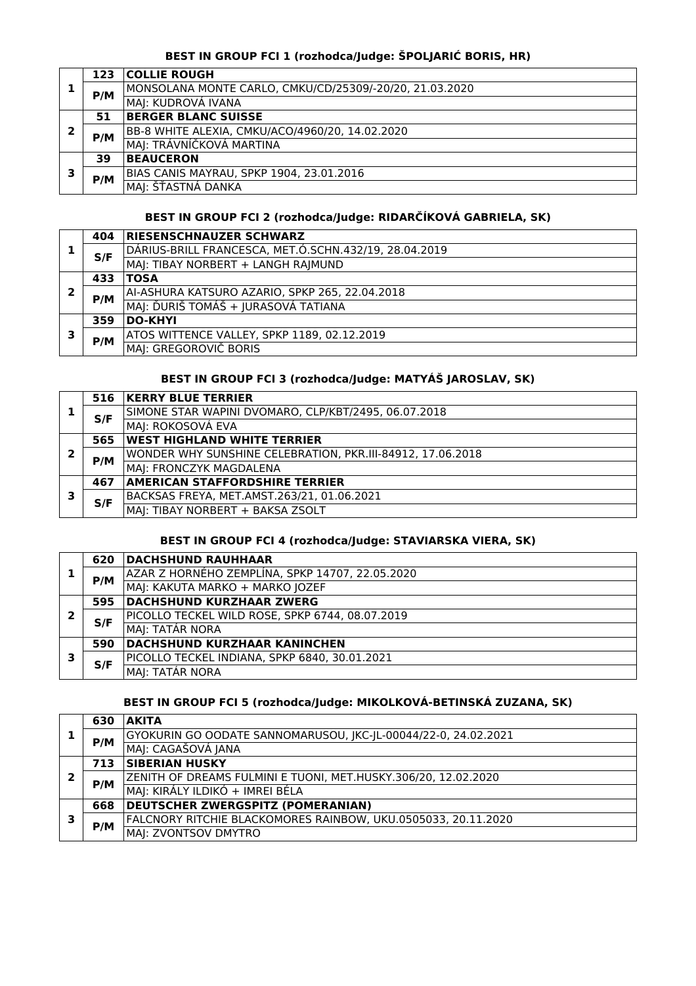# **BEST IN GROUP FCI 1 (rozhodca/Judge: ŠPOLJARIĆ BORIS, HR)**

|   | 123 | <b>COLLIE ROUGH</b>                                     |
|---|-----|---------------------------------------------------------|
|   | P/M | MONSOLANA MONTE CARLO, CMKU/CD/25309/-20/20, 21.03.2020 |
|   |     | MAJ: KUDROVÁ IVANA                                      |
|   | 51  | <b>BERGER BLANC SUISSE</b>                              |
|   | P/M | BB-8 WHITE ALEXIA, CMKU/ACO/4960/20, 14.02.2020         |
|   |     | MAJ: TRÁVNÍČKOVÁ MARTINA                                |
|   | 39  | <b>BEAUCERON</b>                                        |
| - |     | BIAS CANIS MAYRAU, SPKP 1904, 23.01.2016                |
|   | P/M | MAJ: ŠŤASTNÁ DANKA                                      |

# **BEST IN GROUP FCI 2 (rozhodca/Judge: RIDARČÍKOVÁ GABRIELA, SK)**

|                | 404 | <b>RIESENSCHNAUZER SCHWARZ</b>                        |
|----------------|-----|-------------------------------------------------------|
|                | S/F | DÁRIUS-BRILL FRANCESCA, MET.Ó.SCHN.432/19, 28.04.2019 |
|                |     | MAJ: TIBAY NORBERT + LANGH RAJMUND                    |
|                | 433 | <b>TOSA</b>                                           |
| ר              | P/M | AI-ASHURA KATSURO AZARIO, SPKP 265, 22.04.2018        |
|                |     | MAJ: ĎURIŠ TOMÁŠ + JURASOVÁ TATIANA                   |
| DO-KHYI<br>359 |     |                                                       |
| э              |     | ATOS WITTENCE VALLEY, SPKP 1189, 02.12.2019           |
|                | P/M | MAJ: GREGOROVIČ BORIS                                 |

# **BEST IN GROUP FCI 3 (rozhodca/Judge: MATYÁŠ JAROSLAV, SK)**

|   | 516 | <b>KERRY BLUE TERRIER</b>                                  |
|---|-----|------------------------------------------------------------|
|   | S/F | SIMONE STAR WAPINI DVOMARO, CLP/KBT/2495, 06.07.2018       |
|   |     | MAJ: ROKOSOVÁ EVA                                          |
|   | 565 | <b>IWEST HIGHLAND WHITE TERRIER</b>                        |
| 2 | P/M | WONDER WHY SUNSHINE CELEBRATION, PKR.III-84912, 17.06.2018 |
|   |     | MAJ: FRONCZYK MAGDALENA                                    |
|   | 467 | <b>AMERICAN STAFFORDSHIRE TERRIER</b>                      |
| з |     | BACKSAS FREYA, MET.AMST.263/21, 01.06.2021                 |
|   | S/F | MAJ: TIBAY NORBERT + BAKSA ZSOLT                           |

# **BEST IN GROUP FCI 4 (rozhodca/Judge: STAVIARSKA VIERA, SK)**

|   | 620 | <b>DACHSHUND RAUHHAAR</b>                       |
|---|-----|-------------------------------------------------|
|   | P/M | AZAR Z HORNÉHO ZEMPLÍNA, SPKP 14707, 22.05.2020 |
|   |     | MAJ: KAKUTA MARKO + MARKO JOZEF                 |
|   | 595 | <b>DACHSHUND KURZHAAR ZWERG</b>                 |
| 2 | S/F | PICOLLO TECKEL WILD ROSE, SPKP 6744, 08.07.2019 |
|   |     | MAJ: TATÁR NORA                                 |
|   | 590 | DACHSHUND KURZHAAR KANINCHEN                    |
| 3 |     | PICOLLO TECKEL INDIANA, SPKP 6840, 30.01.2021   |
|   | S/F | MAJ: TATÁR NORA                                 |

# **BEST IN GROUP FCI 5 (rozhodca/Judge: MIKOLKOVÁ-BETINSKÁ ZUZANA, SK)**

|   | 630 | <b>AKITA</b>                                                   |
|---|-----|----------------------------------------------------------------|
|   | P/M | GYOKURIN GO OODATE SANNOMARUSOU, IKC-IL-00044/22-0, 24.02.2021 |
|   |     | MAJ: CAGAŠOVÁ JANA                                             |
|   | 713 | <b>SIBERIAN HUSKY</b>                                          |
| 2 | P/M | ZENITH OF DREAMS FULMINI E TUONI, MET.HUSKY.306/20, 12.02.2020 |
|   |     | MAJ: KIRÁLY ILDIKÓ + IMREI BÉLA                                |
|   | 668 | <b>DEUTSCHER ZWERGSPITZ (POMERANIAN)</b>                       |
| з |     | FALCNORY RITCHIE BLACKOMORES RAINBOW, UKU.0505033, 20.11.2020  |
|   | P/M | MAJ: ZVONTSOV DMYTRO                                           |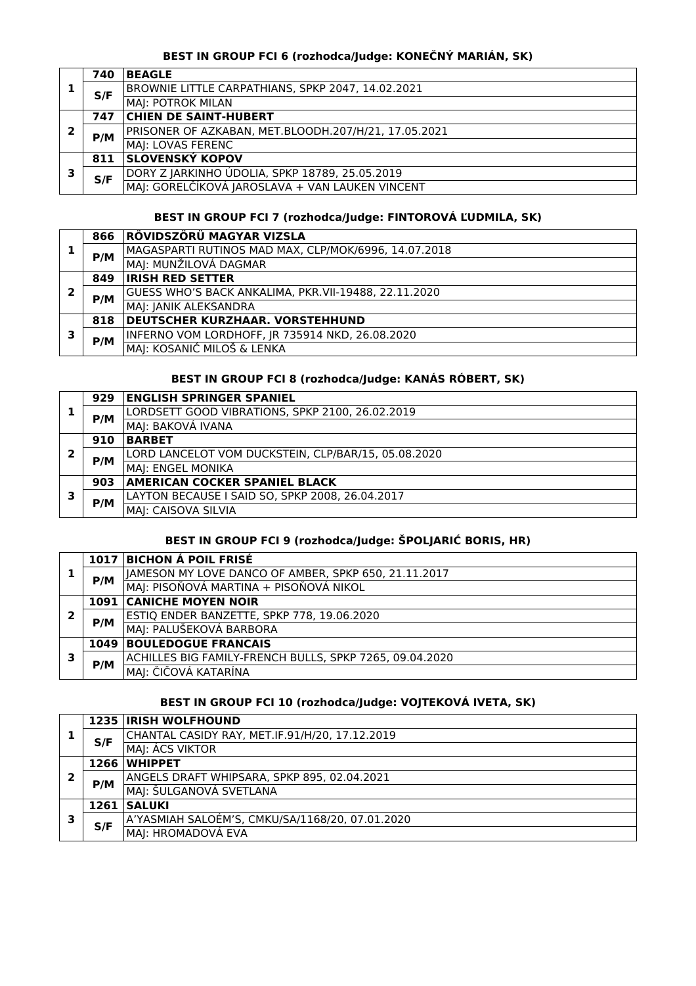## **BEST IN GROUP FCI 6 (rozhodca/Judge: KONEČNÝ MARIÁN, SK)**

|   | 740 | <b>BEAGLE</b>                                        |
|---|-----|------------------------------------------------------|
|   | S/F | BROWNIE LITTLE CARPATHIANS, SPKP 2047, 14.02.2021    |
|   |     | MAJ: POTROK MILAN                                    |
|   | 747 | <b>CHIEN DE SAINT-HUBERT</b>                         |
| ר | P/M | PRISONER OF AZKABAN, MET.BLOODH.207/H/21, 17.05.2021 |
|   |     | MAJ: LOVAS FERENC                                    |
|   | 811 | <b>SLOVENSKÝ KOPOV</b>                               |
| ־ | S/F | DORY Z JARKINHO ÚDOLIA, SPKP 18789, 25.05.2019       |
|   |     | MAI: GORELČÍKOVÁ JAROSLAVA + VAN LAUKEN VINCENT      |

### **BEST IN GROUP FCI 7 (rozhodca/Judge: FINTOROVÁ ĽUDMILA, SK)**

|   | 866 | RÖVIDSZÖRÜ MAGYAR VIZSLA                             |
|---|-----|------------------------------------------------------|
|   | P/M | MAGASPARTI RUTINOS MAD MAX, CLP/MOK/6996, 14.07.2018 |
|   |     | MAI: MUNŽILOVÁ DAGMAR                                |
|   | 849 | <b>IRISH RED SETTER</b>                              |
| 7 | P/M | GUESS WHO'S BACK ANKALIMA, PKR.VII-19488, 22.11.2020 |
|   |     | MAJ: JANIK ALEKSANDRA                                |
|   | 818 | <b>DEUTSCHER KURZHAAR. VORSTEHHUND</b>               |
| 3 |     | INFERNO VOM LORDHOFF, JR 735914 NKD, 26.08.2020      |
|   | P/M | MAJ: KOSANIĆ MILOŠ & LENKA                           |

# **BEST IN GROUP FCI 8 (rozhodca/Judge: KANÁS RÓBERT, SK)**

|   | 929 | <b>ENGLISH SPRINGER SPANIEL</b>                     |
|---|-----|-----------------------------------------------------|
|   | P/M | LORDSETT GOOD VIBRATIONS, SPKP 2100, 26.02.2019     |
|   |     | MAI: BAKOVÁ IVANA                                   |
|   | 910 | <b>BARBET</b>                                       |
| っ | P/M | LORD LANCELOT VOM DUCKSTEIN, CLP/BAR/15, 05.08.2020 |
|   |     | MAJ: ENGEL MONIKA                                   |
|   | 903 | <b>AMERICAN COCKER SPANIEL BLACK</b>                |
| 3 |     | LAYTON BECAUSE I SAID SO, SPKP 2008, 26.04.2017     |
|   | P/M | MAJ: CAISOVA SILVIA                                 |

# **BEST IN GROUP FCI 9 (rozhodca/Judge: ŠPOLJARIĆ BORIS, HR)**

|   |      | 1017 BICHON Á POIL FRISÉ                                |
|---|------|---------------------------------------------------------|
|   | P/M  | JAMESON MY LOVE DANCO OF AMBER, SPKP 650, 21.11.2017    |
|   |      | MAJ: PISOŇOVÁ MARTINA + PISOŇOVÁ NIKOL                  |
| 2 |      | <b>1091 CANICHE MOYEN NOIR</b>                          |
|   | P/M  | ESTIQ ENDER BANZETTE, SPKP 778, 19.06.2020              |
|   |      | MAJ: PALUŠEKOVÁ BARBORA                                 |
| 3 | 1049 | <b>BOULEDOGUE FRANCAIS</b>                              |
|   | P/M  | ACHILLES BIG FAMILY-FRENCH BULLS, SPKP 7265, 09.04.2020 |
|   |      | MAJ: ČIČOVÁ KATARÍNA                                    |

# **BEST IN GROUP FCI 10 (rozhodca/Judge: VOJTEKOVÁ IVETA, SK)**

|   |        | <b>1235 IRISH WOLFHOUND</b>                     |
|---|--------|-------------------------------------------------|
|   | S/F    | CHANTAL CASIDY RAY, MET.IF.91/H/20, 17.12.2019  |
|   |        | MAJ: ÁCS VIKTOR                                 |
|   | 1266   | <b>WHIPPET</b>                                  |
|   | P/M    | ANGELS DRAFT WHIPSARA, SPKP 895, 02.04.2021     |
|   |        | MAJ: ŠULGANOVÁ SVETLANA                         |
| 3 | 1261 l | <b>SALUKI</b>                                   |
|   | S/F    | A'YASMIAH SALOÉM'S, CMKU/SA/1168/20, 07.01.2020 |
|   |        | MAJ: HROMADOVÁ EVA                              |